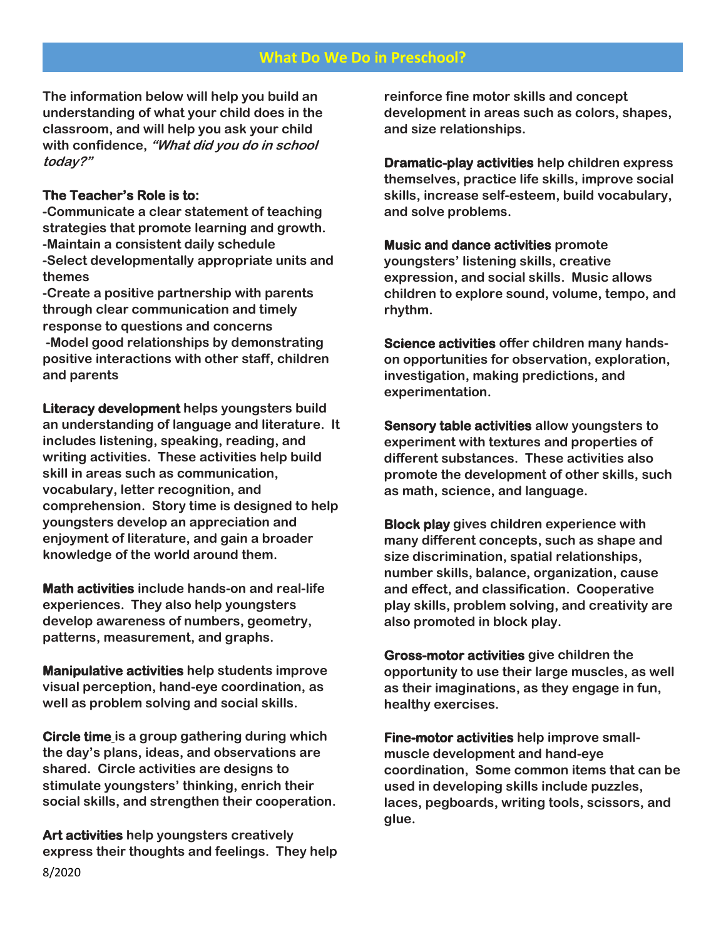# **What Do We Do in Preschool?**

**The information below will help you build an understanding of what your child does in the classroom, and will help you ask your child with confidence, "What did you do in school today?"**

#### **The Teacher's Role is to:**

**-Communicate a clear statement of teaching strategies that promote learning and growth. -Maintain a consistent daily schedule -Select developmentally appropriate units and themes**

**-Create a positive partnership with parents through clear communication and timely response to questions and concerns**

**-Model good relationships by demonstrating positive interactions with other staff, children and parents**

**Literacy development helps youngsters build an understanding of language and literature. It includes listening, speaking, reading, and writing activities. These activities help build skill in areas such as communication, vocabulary, letter recognition, and comprehension. Story time is designed to help youngsters develop an appreciation and enjoyment of literature, and gain a broader knowledge of the world around them.**

**Math activities include hands-on and real-life experiences. They also help youngsters develop awareness of numbers, geometry, patterns, measurement, and graphs.**

**Manipulative activities help students improve visual perception, hand-eye coordination, as well as problem solving and social skills.**

**Circle time is a group gathering during which the day's plans, ideas, and observations are shared. Circle activities are designs to stimulate youngsters' thinking, enrich their social skills, and strengthen their cooperation.**

8/2020 **Art activities help youngsters creatively express their thoughts and feelings. They help**  **reinforce fine motor skills and concept development in areas such as colors, shapes, and size relationships.**

**Dramatic-play activities help children express themselves, practice life skills, improve social skills, increase self-esteem, build vocabulary, and solve problems.** 

**Music and dance activities promote youngsters' listening skills, creative expression, and social skills. Music allows children to explore sound, volume, tempo, and rhythm.**

**Science activities offer children many handson opportunities for observation, exploration, investigation, making predictions, and experimentation.**

**Sensory table activities allow youngsters to experiment with textures and properties of different substances. These activities also promote the development of other skills, such as math, science, and language.**

**Block play gives children experience with many different concepts, such as shape and size discrimination, spatial relationships, number skills, balance, organization, cause and effect, and classification. Cooperative play skills, problem solving, and creativity are also promoted in block play.**

**Gross-motor activities give children the opportunity to use their large muscles, as well as their imaginations, as they engage in fun, healthy exercises.**

**Fine-motor activities help improve smallmuscle development and hand-eye coordination, Some common items that can be used in developing skills include puzzles, laces, pegboards, writing tools, scissors, and glue.**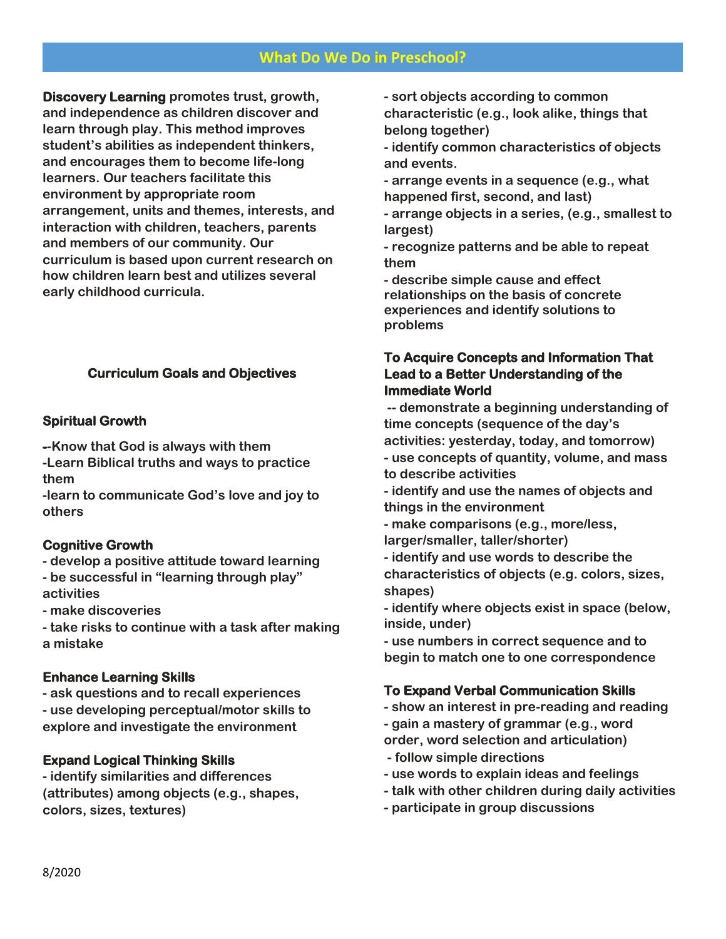# **What Do We Do in Preschool?**

**Discovery Learning promotes trust, growth, and independence as children discover and learn through play. This method improves student's abilities as independent thinkers, and encourages them to become life-long learners. Our teachers facilitate this environment by appropriate room arrangement, units and themes, interests, and interaction with children, teachers, parents and members of our community. Our curriculum is based upon current research on how children learn best and utilizes several early childhood curricula.** 

# **Curriculum Goals and Objectives**

## **Spiritual Growth**

**--Know that God is always with them**

**-Learn Biblical truths and ways to practice them**

**-learn to communicate God's love and joy to others**

### **Cognitive Growth**

**- develop a positive attitude toward learning - be successful in "learning through play" activities**

**- make discoveries**

**- take risks to continue with a task after making a mistake**

### **Enhance Learning Skills**

**- ask questions and to recall experiences - use developing perceptual/motor skills to explore and investigate the environment**

# **Expand Logical Thinking Skills**

**- identify similarities and differences (attributes) among objects (e.g., shapes, colors, sizes, textures)**

**- sort objects according to common characteristic (e.g., look alike, things that belong together)**

**- identify common characteristics of objects and events.**

**- arrange events in a sequence (e.g., what happened first, second, and last)**

**- arrange objects in a series, (e.g., smallest to largest)**

**- recognize patterns and be able to repeat them**

**- describe simple cause and effect relationships on the basis of concrete experiences and identify solutions to problems**

# **To Acquire Concepts and Information That Lead to a Better Understanding of the Immediate World**

**-- demonstrate a beginning understanding of time concepts (sequence of the day's activities: yesterday, today, and tomorrow)**

**- use concepts of quantity, volume, and mass to describe activities**

**- identify and use the names of objects and things in the environment**

**- make comparisons (e.g., more/less,** 

**larger/smaller, taller/shorter)**

**- identify and use words to describe the characteristics of objects (e.g. colors, sizes, shapes)**

**- identify where objects exist in space (below, inside, under)**

**- use numbers in correct sequence and to begin to match one to one correspondence**

# **To Expand Verbal Communication Skills**

- **- show an interest in pre-reading and reading**
- **- gain a mastery of grammar (e.g., word**
- **order, word selection and articulation)**
- **- follow simple directions**
- **- use words to explain ideas and feelings**
- **- talk with other children during daily activities**
- **- participate in group discussions**